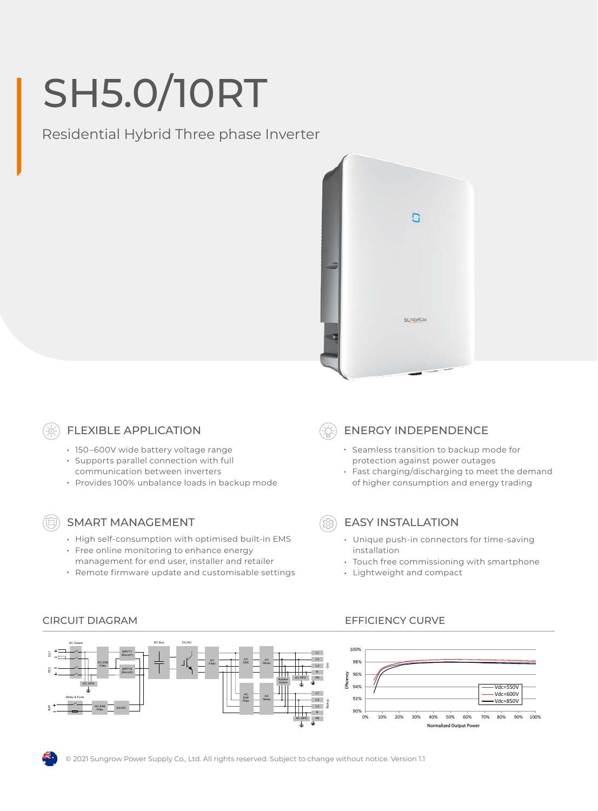# SH5.0/10RT

Residential Hybrid Three phase Inverter



#### FLEXIBLE APPLICATION

- 150-600V wide battery voltage range
- Supports parallel connection with full
- communication between inverters
- Provides 100% unbalance loads in backup mode

### SMART MANAGEMENT

- High self-consumption with optimised built-in EMS
- Free online monitoring to enhance energy
- management for end user, installer and retailer
- Remote firmware update and customisable settings

## ENERGY INDEPENDENCE

- Seamless transition to backup mode for protection against power outages
- Fast charging/discharging to meet the demand of higher consumption and energy trading

### EASY INSTALLATION

- Unique push-in connectors for time-saving installation
- Touch free commissioning with smartphone
- Lightweight and compact

#### DC Bus DC/AC DC Switch 100% MPPT1 L1 5 (Boost1) 98% AC AC AC DC EMI EMI **Filter** Relay Filter Grid Filter  $\widetilde{\mathrm{g}}$ MPPT2 96% (Boost2) N AC SPD PE Bypass Effici Switch 94% DC SPD  $Vdc = 550V$ Vdc=600V L1 AC 92% AC Relay & Fuse EMI Vdc=850V Relay Filter Backup BAT DC EMI Filter DC/DC 90% $+$ <br>0% N 0% 10% 20% 30% 40% 50% 60% 70% 80% 90% 100% AC SPD PE Normalized Output Power



© 2021 Sungrow Power Supply Co., Ltd. All rights reserved. Subject to change without notice. Version 1.1

#### CIRCUIT DIAGRAM EFFICIENCY CURVE